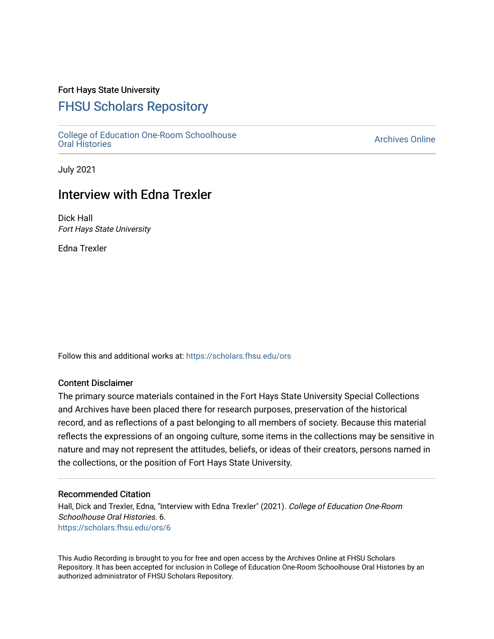### Fort Hays State University

# [FHSU Scholars Repository](https://scholars.fhsu.edu/)

[College of Education One-Room Schoolhouse](https://scholars.fhsu.edu/ors)<br>Oral Histories College of Education Orle-Room Schoolhouse<br>[Oral Histories](https://scholars.fhsu.edu/ors) Archives Online

July 2021

## Interview with Edna Trexler

Dick Hall Fort Hays State University

Edna Trexler

Follow this and additional works at: [https://scholars.fhsu.edu/ors](https://scholars.fhsu.edu/ors?utm_source=scholars.fhsu.edu%2Fors%2F6&utm_medium=PDF&utm_campaign=PDFCoverPages) 

#### Content Disclaimer

The primary source materials contained in the Fort Hays State University Special Collections and Archives have been placed there for research purposes, preservation of the historical record, and as reflections of a past belonging to all members of society. Because this material reflects the expressions of an ongoing culture, some items in the collections may be sensitive in nature and may not represent the attitudes, beliefs, or ideas of their creators, persons named in the collections, or the position of Fort Hays State University.

#### Recommended Citation

Hall, Dick and Trexler, Edna, "Interview with Edna Trexler" (2021). College of Education One-Room Schoolhouse Oral Histories. 6. [https://scholars.fhsu.edu/ors/6](https://scholars.fhsu.edu/ors/6?utm_source=scholars.fhsu.edu%2Fors%2F6&utm_medium=PDF&utm_campaign=PDFCoverPages) 

This Audio Recording is brought to you for free and open access by the Archives Online at FHSU Scholars Repository. It has been accepted for inclusion in College of Education One-Room Schoolhouse Oral Histories by an authorized administrator of FHSU Scholars Repository.